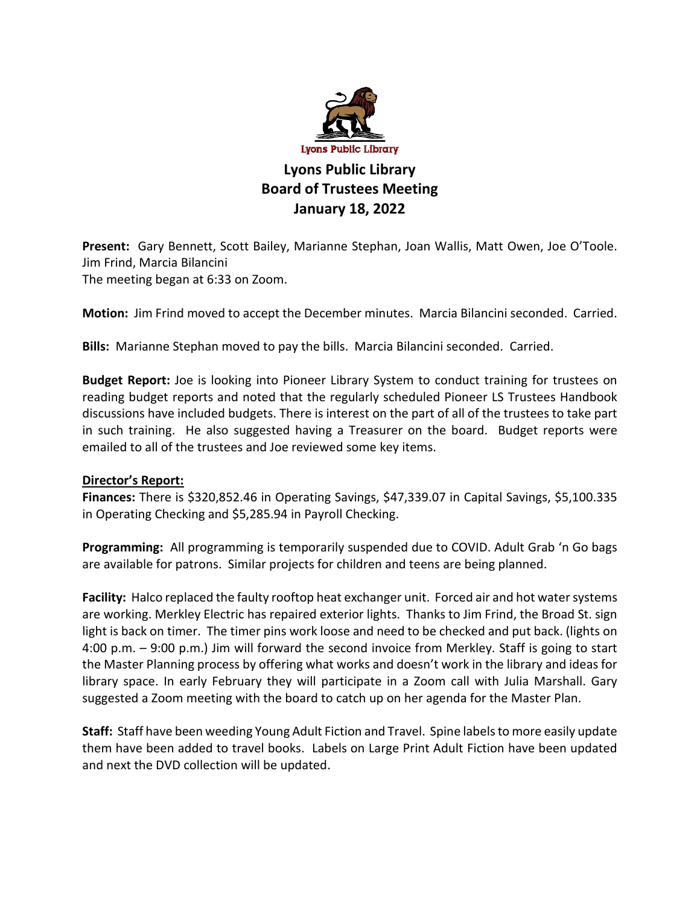

## **Lyons Public Library Board of Trustees Meeting January 18, 2022**

**Present:** Gary Bennett, Scott Bailey, Marianne Stephan, Joan Wallis, Matt Owen, Joe O'Toole. Jim Frind, Marcia Bilancini The meeting began at 6:33 on Zoom.

**Motion:** Jim Frind moved to accept the December minutes. Marcia Bilancini seconded. Carried.

**Bills:** Marianne Stephan moved to pay the bills. Marcia Bilancini seconded. Carried.

**Budget Report:** Joe is looking into Pioneer Library System to conduct training for trustees on reading budget reports and noted that the regularly scheduled Pioneer LS Trustees Handbook discussions have included budgets. There is interest on the part of all of the trustees to take part in such training. He also suggested having a Treasurer on the board. Budget reports were emailed to all of the trustees and Joe reviewed some key items.

## **Director's Report:**

**Finances:** There is \$320,852.46 in Operating Savings, \$47,339.07 in Capital Savings, \$5,100.335 in Operating Checking and \$5,285.94 in Payroll Checking.

**Programming:** All programming is temporarily suspended due to COVID. Adult Grab 'n Go bags are available for patrons. Similar projects for children and teens are being planned.

**Facility:** Halco replaced the faulty rooftop heat exchanger unit. Forced air and hot water systems are working. Merkley Electric has repaired exterior lights. Thanks to Jim Frind, the Broad St. sign light is back on timer. The timer pins work loose and need to be checked and put back. (lights on 4:00 p.m. – 9:00 p.m.) Jim will forward the second invoice from Merkley. Staff is going to start the Master Planning process by offering what works and doesn't work in the library and ideas for library space. In early February they will participate in a Zoom call with Julia Marshall. Gary suggested a Zoom meeting with the board to catch up on her agenda for the Master Plan.

**Staff:** Staff have been weeding Young Adult Fiction and Travel. Spine labels to more easily update them have been added to travel books. Labels on Large Print Adult Fiction have been updated and next the DVD collection will be updated.